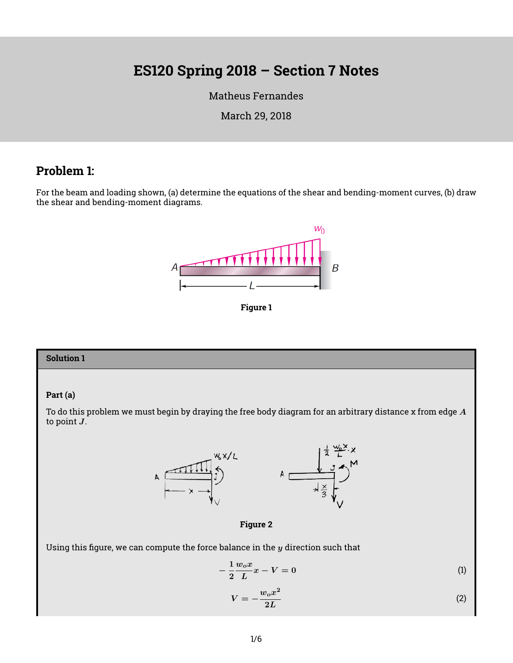# **ES120 Spring 2018 – Section 7 Notes**

[Matheus Fernandes](http://fer.me)

March 29, 2018

# **Problem 1:**

For the beam and loading shown, (a) determine the equations of the shear and bending-moment curves, (b) draw the shear and bending-moment diagrams.



**Figure 1**

#### **Solution 1**

#### **Part (a)**

To do this problem we must begin by draying the free body diagram for an arbitrary distance x from edge  $A$ to point  $J$ .





Using this figure, we can compute the force balance in the  $y$  direction such that

$$
-\frac{1}{2}\frac{w_ox}{L}x - V = 0\tag{1}
$$

$$
V = -\frac{w_o x^2}{2L} \tag{2}
$$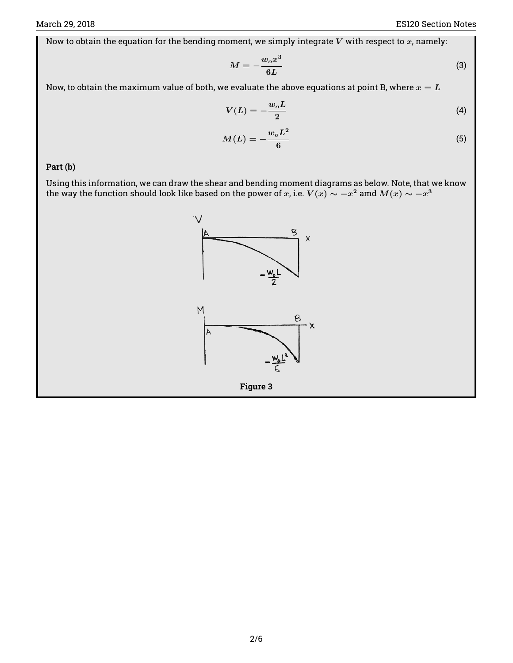Now to obtain the equation for the bending moment, we simply integrate  $V$  with respect to  $x$ , namely:

$$
M = -\frac{w_o x^3}{6L} \tag{3}
$$

Now, to obtain the maximum value of both, we evaluate the above equations at point B, where  $x = L$ 

$$
V(L) = -\frac{w_o L}{2} \tag{4}
$$

$$
M(L) = -\frac{w_o L^2}{6} \tag{5}
$$

**Part (b)**

Using this information, we can draw the shear and bending moment diagrams as below. Note, that we know the way the function should look like based on the power of  $x$ , i.e.  $V(x) \sim -x^2$  amd  $M(x) \sim -x^3$ 

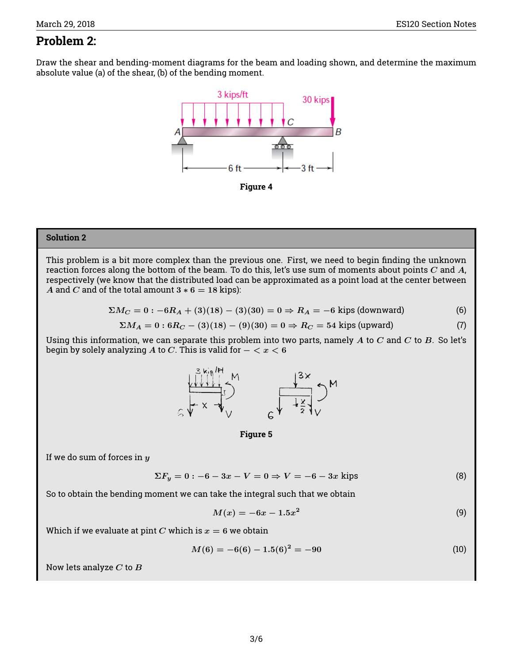# **Problem 2:**

Draw the shear and bending-moment diagrams for the beam and loading shown, and determine the maximum absolute value (a) of the shear, (b) of the bending moment.



**Figure 4**

### **Solution 2**

This problem is a bit more complex than the previous one. First, we need to begin finding the unknown reaction forces along the bottom of the beam. To do this, let's use sum of moments about points  $C$  and  $A$ , respectively (we know that the distributed load can be approximated as a point load at the center between A and C and of the total amount  $3 * 6 = 18$  kips):

$$
\Sigma M_C = 0: -6R_A + (3)(18) - (3)(30) = 0 \Rightarrow R_A = -6
$$
 kips (downward) (6)

$$
\Sigma M_A = 0: 6R_C - (3)(18) - (9)(30) = 0 \Rightarrow R_C = 54 \text{ kips (upward)}
$$
 (7)

Using this information, we can separate this problem into two parts, namely  $A$  to  $C$  and  $C$  to  $B$ . So let's begin by solely analyzing A to C. This is valid for  $- < x < 6$ 



**Figure 5**

If we do sum of forces in  $y$ 

$$
\Sigma F_y = 0: -6 - 3x - V = 0 \Rightarrow V = -6 - 3x \text{ kips} \tag{8}
$$

So to obtain the bending moment we can take the integral such that we obtain

$$
M(x) = -6x - 1.5x^2
$$
 (9)

Which if we evaluate at pint C which is  $x = 6$  we obtain

$$
M(6) = -6(6) - 1.5(6)^2 = -90
$$
 (10)

Now lets analyze  $C$  to  $B$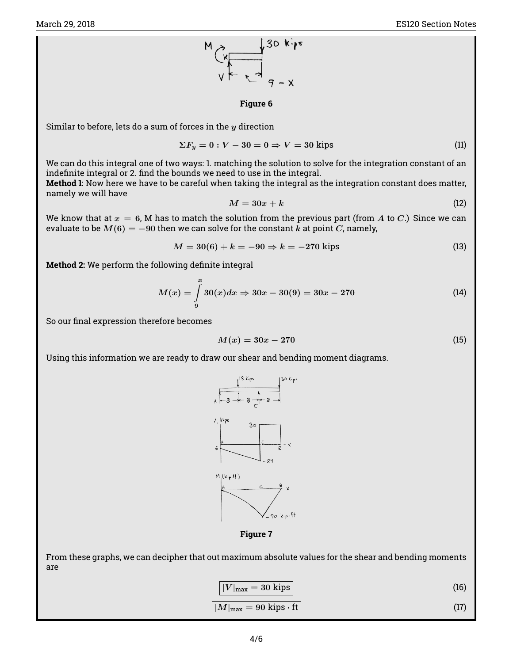

#### **Figure 6**

Similar to before, lets do a sum of forces in the  $y$  direction

$$
\Sigma F_y = 0: V - 30 = 0 \Rightarrow V = 30 \text{ kips} \tag{11}
$$

We can do this integral one of two ways: 1. matching the solution to solve for the integration constant of an indefinite integral or 2. find the bounds we need to use in the integral.

**Method 1:** Now here we have to be careful when taking the integral as the integration constant does matter, namely we will have

$$
M = 30x + k \tag{12}
$$

We know that at  $x = 6$ , M has to match the solution from the previous part (from A to C.) Since we can evaluate to be  $M(6) = -90$  then we can solve for the constant k at point C, namely,

$$
M = 30(6) + k = -90 \Rightarrow k = -270 \text{ kips} \tag{13}
$$

**Method 2:** We perform the following definite integral

$$
M(x) = \int_{9}^{x} 30(x)dx \Rightarrow 30x - 30(9) = 30x - 270
$$
 (14)

So our final expression therefore becomes

$$
M(x) = 30x - 270
$$
 (15)

Using this information we are ready to draw our shear and bending moment diagrams.



**Figure 7**

From these graphs, we can decipher that out maximum absolute values for the shear and bending moments are

$$
|V|_{\text{max}} = 30 \text{ kips} \tag{16}
$$

$$
|M|_{\text{max}} = 90 \text{ kips} \cdot \text{ft} \tag{17}
$$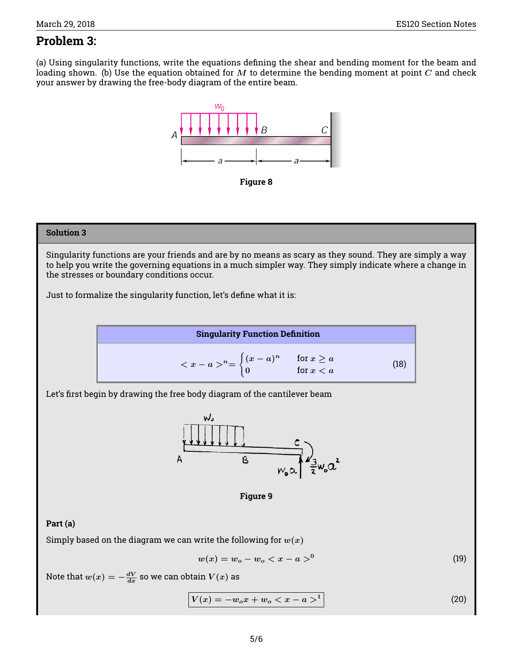# **Problem 3:**

(a) Using singularity functions, write the equations defining the shear and bending moment for the beam and loading shown. (b) Use the equation obtained for  $M$  to determine the bending moment at point  $C$  and check your answer by drawing the free-body diagram of the entire beam.





# **Solution 3**

Singularity functions are your friends and are by no means as scary as they sound. They are simply a way to help you write the governing equations in a much simpler way. They simply indicate where a change in the stresses or boundary conditions occur.

Just to formalize the singularity function, let's define what it is:



Let's first begin by drawing the free body diagram of the cantilever beam



**Figure 9**

## **Part (a)**

Simply based on the diagram we can write the following for  $w(x)$ 

$$
w(x) = w_o - w_o < x - a >^0 \tag{19}
$$

Note that  $w(x) = -\frac{dV}{dx}$  so we can obtain  $V(x)$  as

$$
V(x) = -w_0 x + w_0 < x - a >^1
$$
 (20)